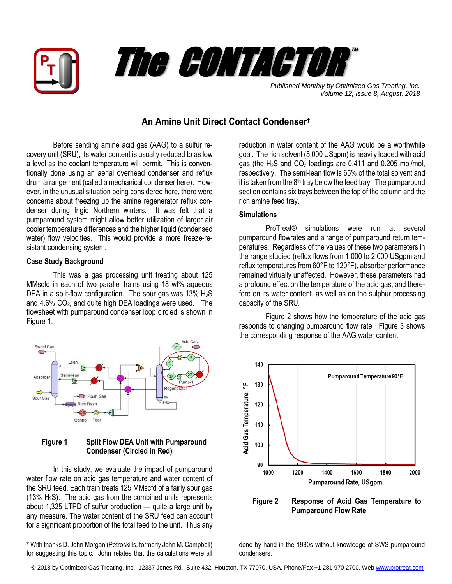



*Published Monthly by Optimized Gas Treating, Inc. Volume 12, Issue 8, August, 2018*

# **An Amine Unit Direct Contact Condenser†**

Before sending amine acid gas (AAG) to a sulfur recovery unit (SRU), its water content is usually reduced to as low a level as the coolant temperature will permit. This is conventionally done using an aerial overhead condenser and reflux drum arrangement (called a mechanical condenser here). However, in the unusual situation being considered here, there were concerns about freezing up the amine regenerator reflux condenser during frigid Northern winters. It was felt that a pumparound system might allow better utilization of larger air cooler temperature differences and the higher liquid (condensed water) flow velocities. This would provide a more freeze-resistant condensing system.

## **Case Study Background**

 $\overline{a}$ 

This was a gas processing unit treating about 125 MMscfd in each of two parallel trains using 18 wt% aqueous DEA in a split-flow configuration. The sour gas was 13%  $H_2S$ and  $4.6\%$  CO<sub>2</sub>, and quite high DEA loadings were used. The flowsheet with pumparound condenser loop circled is shown in Figure 1.



#### **Figure 1 Split Flow DEA Unit with Pumparound Condenser (Circled in Red)**

In this study, we evaluate the impact of pumparound water flow rate on acid gas temperature and water content of the SRU feed. Each train treats 125 MMscfd of a fairly sour gas (13%  $H<sub>2</sub>S$ ). The acid gas from the combined units represents about 1,325 LTPD of sulfur production — quite a large unit by any measure. The water content of the SRU feed can account for a significant proportion of the total feed to the unit. Thus any

reduction in water content of the AAG would be a worthwhile goal. The rich solvent (5,000 USgpm) is heavily loaded with acid gas (the  $H_2S$  and  $CO_2$  loadings are 0.411 and 0.205 mol/mol, respectively. The semi-lean flow is 65% of the total solvent and it is taken from the  $8<sup>th</sup>$  tray below the feed tray. The pumparound section contains six trays between the top of the column and the rich amine feed tray.

## **Simulations**

ProTreat® simulations were run at several pumparound flowrates and a range of pumparound return temperatures. Regardless of the values of these two parameters in the range studied (reflux flows from 1,000 to 2,000 USgpm and reflux temperatures from 60°F to 120°F), absorber performance remained virtually unaffected. However, these parameters had a profound effect on the temperature of the acid gas, and therefore on its water content, as well as on the sulphur processing capacity of the SRU.

Figure 2 shows how the temperature of the acid gas responds to changing pumparound flow rate. Figure 3 shows the corresponding response of the AAG water content.



## **Figure 2 Response of Acid Gas Temperature to Pumparound Flow Rate**

done by hand in the 1980s without knowledge of SWS pumparound condensers.

© 2018 by Optimized Gas Treating, Inc., 12337 Jones Rd., Suite 432, Houston, TX 77070, USA, Phone/Fax +1 281 970 2700, We[b www.protreat.com](http://www.protreat.com/)

<sup>†</sup> With thanks D. John Morgan (Petroskills, formerly John M. Campbell) for suggesting this topic. John relates that the calculations were all